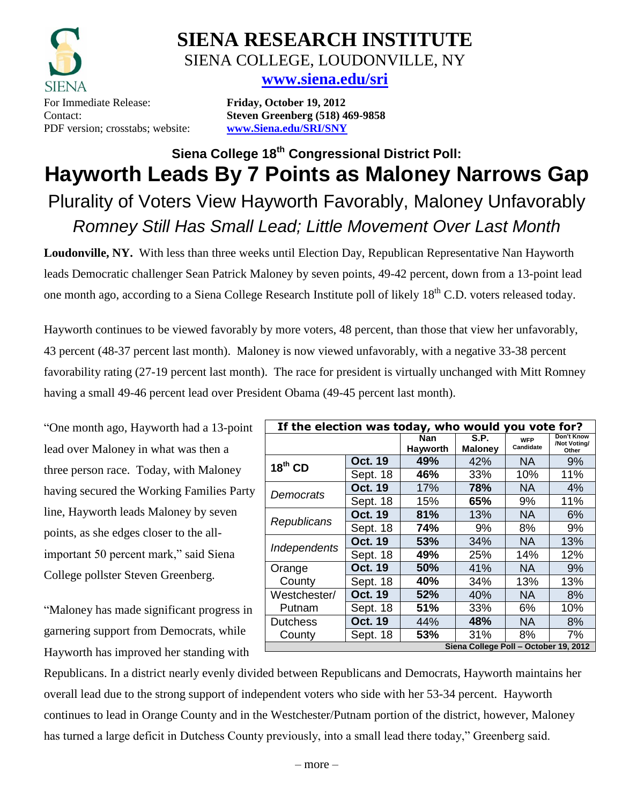

**SIENA RESEARCH INSTITUTE** SIENA COLLEGE, LOUDONVILLE, NY

# **[www.siena.edu/sri](http://www.siena.edu/sri)**

Contact: **Steven Greenberg (518) 469-9858**

# **Siena College 18 th Congressional District Poll: Hayworth Leads By 7 Points as Maloney Narrows Gap** Plurality of Voters View Hayworth Favorably, Maloney Unfavorably *Romney Still Has Small Lead; Little Movement Over Last Month*

**Loudonville, NY.** With less than three weeks until Election Day, Republican Representative Nan Hayworth leads Democratic challenger Sean Patrick Maloney by seven points, 49-42 percent, down from a 13-point lead one month ago, according to a Siena College Research Institute poll of likely 18<sup>th</sup> C.D. voters released today.

Hayworth continues to be viewed favorably by more voters, 48 percent, than those that view her unfavorably, 43 percent (48-37 percent last month). Maloney is now viewed unfavorably, with a negative 33-38 percent favorability rating (27-19 percent last month). The race for president is virtually unchanged with Mitt Romney having a small 49-46 percent lead over President Obama (49-45 percent last month).

"One month ago, Hayworth had a 13-point lead over Maloney in what was then a three person race. Today, with Maloney having secured the Working Families Party line, Hayworth leads Maloney by seven points, as she edges closer to the allimportant 50 percent mark," said Siena College pollster Steven Greenberg.

"Maloney has made significant progress in garnering support from Democrats, while Hayworth has improved her standing with

| If the election was today, who would<br>you vote for? |                |                        |                        |                         |                                     |  |  |
|-------------------------------------------------------|----------------|------------------------|------------------------|-------------------------|-------------------------------------|--|--|
|                                                       |                | Nan<br><b>Hayworth</b> | S.P.<br><b>Maloney</b> | <b>WFP</b><br>Candidate | Don't Know<br>/Not Voting/<br>Other |  |  |
| $18th$ CD                                             | <b>Oct. 19</b> | 49%                    | 42%                    | <b>NA</b>               | 9%                                  |  |  |
|                                                       | Sept. 18       | 46%                    | 33%                    | 10%                     | 11%                                 |  |  |
| Democrats                                             | <b>Oct. 19</b> | 17%                    | 78%                    | NA.                     | 4%                                  |  |  |
|                                                       | Sept. 18       | 15%                    | 65%                    | 9%                      | 11%                                 |  |  |
| Republicans                                           | <b>Oct. 19</b> | 81%                    | 13%                    | <b>NA</b>               | 6%                                  |  |  |
|                                                       | Sept. 18       | 74%                    | 9%                     | 8%                      | 9%                                  |  |  |
| Independents                                          | <b>Oct. 19</b> | 53%                    | 34%                    | <b>NA</b>               | 13%                                 |  |  |
|                                                       | Sept. 18       | 49%                    | 25%                    | 14%                     | 12%                                 |  |  |
| Orange                                                | <b>Oct. 19</b> | 50%                    | 41%                    | NA.                     | 9%                                  |  |  |
| County                                                | Sept. 18       | 40%                    | 34%                    | 13%                     | 13%                                 |  |  |
| Westchester/                                          | <b>Oct. 19</b> | 52%                    | 40%                    | <b>NA</b>               | 8%                                  |  |  |
| Putnam                                                | Sept. 18       | 51%                    | 33%                    | 6%                      | 10%                                 |  |  |
| <b>Dutchess</b>                                       | <b>Oct. 19</b> | 44%                    | 48%                    | <b>NA</b>               | 8%                                  |  |  |
| County                                                | Sept. 18       | 53%                    | 31%                    | 8%                      | 7%                                  |  |  |
| Siena College Poll - October 19, 2012                 |                |                        |                        |                         |                                     |  |  |

Republicans. In a district nearly evenly divided between Republicans and Democrats, Hayworth maintains her overall lead due to the strong support of independent voters who side with her 53-34 percent. Hayworth continues to lead in Orange County and in the Westchester/Putnam portion of the district, however, Maloney has turned a large deficit in Dutchess County previously, into a small lead there today," Greenberg said.